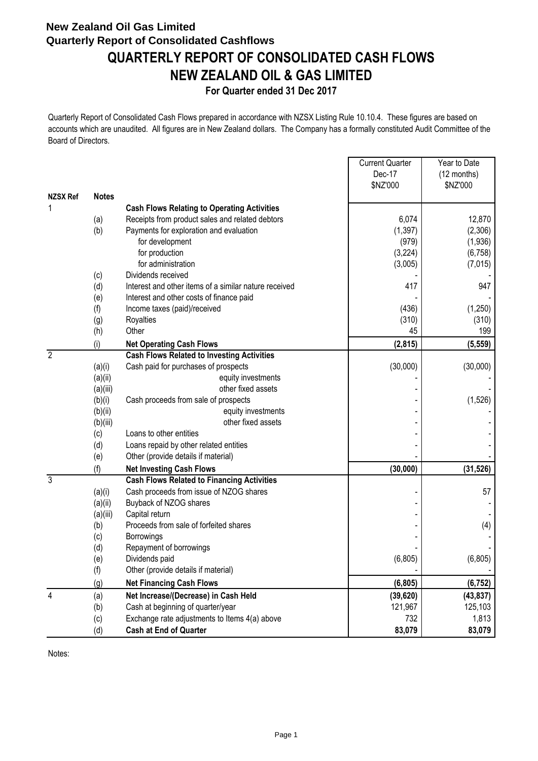# **New Zealand Oil Gas Limited Quarterly Report of Consolidated Cashflows QUARTERLY REPORT OF CONSOLIDATED CASH FLOWS NEW ZEALAND OIL & GAS LIMITED**

### **For Quarter ended 31 Dec 2017**

Quarterly Report of Consolidated Cash Flows prepared in accordance with NZSX Listing Rule 10.10.4. These figures are based on accounts which are unaudited. All figures are in New Zealand dollars. The Company has a formally constituted Audit Committee of the Board of Directors.

|                 |              |                                                       | <b>Current Quarter</b> | Year to Date |
|-----------------|--------------|-------------------------------------------------------|------------------------|--------------|
|                 |              |                                                       | Dec-17                 | (12 months)  |
|                 |              |                                                       | \$NZ'000               | \$NZ'000     |
| <b>NZSX Ref</b> | <b>Notes</b> |                                                       |                        |              |
| 1               |              | <b>Cash Flows Relating to Operating Activities</b>    |                        |              |
|                 | (a)          | Receipts from product sales and related debtors       | 6,074                  | 12,870       |
|                 | (b)          | Payments for exploration and evaluation               | (1, 397)               | (2,306)      |
|                 |              | for development                                       | (979)                  | (1,936)      |
|                 |              | for production                                        | (3,224)                | (6, 758)     |
|                 |              | for administration                                    | (3,005)                | (7,015)      |
|                 | (c)          | Dividends received                                    |                        |              |
|                 | (d)          | Interest and other items of a similar nature received | 417                    | 947          |
|                 | (e)          | Interest and other costs of finance paid              |                        |              |
|                 | (f)          | Income taxes (paid)/received                          | (436)                  | (1,250)      |
|                 | (g)          | Royalties                                             | (310)                  | (310)        |
|                 | (h)          | Other                                                 | 45                     | 199          |
|                 | (i)          | <b>Net Operating Cash Flows</b>                       | (2, 815)               | (5, 559)     |
| $\overline{2}$  |              | <b>Cash Flows Related to Investing Activities</b>     |                        |              |
|                 | (a)(i)       | Cash paid for purchases of prospects                  | (30,000)               | (30,000)     |
|                 | (a)(ii)      | equity investments                                    |                        |              |
|                 | (a)(iii)     | other fixed assets                                    |                        |              |
|                 | (b)(i)       | Cash proceeds from sale of prospects                  |                        | (1,526)      |
|                 | (b)(ii)      | equity investments                                    |                        |              |
|                 | (b)(iii)     | other fixed assets                                    |                        |              |
|                 | (c)          | Loans to other entities                               |                        |              |
|                 | (d)          | Loans repaid by other related entities                |                        |              |
|                 | (e)          | Other (provide details if material)                   |                        |              |
|                 | (f)          | <b>Net Investing Cash Flows</b>                       | (30,000)               | (31, 526)    |
| 3               |              | <b>Cash Flows Related to Financing Activities</b>     |                        |              |
|                 | (a)(i)       | Cash proceeds from issue of NZOG shares               |                        | 57           |
|                 | (a)(ii)      | Buyback of NZOG shares                                |                        |              |
|                 | (a)(iii)     | Capital return                                        |                        |              |
|                 | (b)          | Proceeds from sale of forfeited shares                |                        | (4)          |
|                 | (c)          | Borrowings                                            |                        |              |
|                 | (d)          | Repayment of borrowings                               |                        |              |
|                 | (e)          | Dividends paid                                        | (6, 805)               | (6, 805)     |
|                 | (f)          | Other (provide details if material)                   |                        |              |
|                 | (g)          | <b>Net Financing Cash Flows</b>                       | (6, 805)               | (6, 752)     |
| 4               | (a)          | Net Increase/(Decrease) in Cash Held                  | (39, 620)              | (43, 837)    |
|                 | (b)          | Cash at beginning of quarter/year                     | 121,967                | 125,103      |
|                 | (c)          | Exchange rate adjustments to Items 4(a) above         | 732                    | 1,813        |
|                 | (d)          | <b>Cash at End of Quarter</b>                         | 83,079                 | 83,079       |

Notes: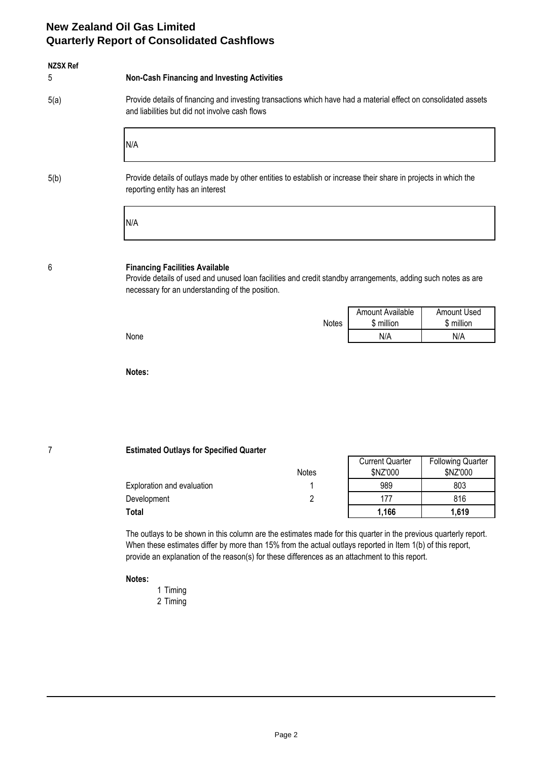### **New Zealand Oil Gas Limited Quarterly Report of Consolidated Cashflows**

| <b>NZSX Ref</b> |                                                                                                                                                                                                          |              |                                    |                                     |  |
|-----------------|----------------------------------------------------------------------------------------------------------------------------------------------------------------------------------------------------------|--------------|------------------------------------|-------------------------------------|--|
| 5               | <b>Non-Cash Financing and Investing Activities</b>                                                                                                                                                       |              |                                    |                                     |  |
| 5(a)            | Provide details of financing and investing transactions which have had a material effect on consolidated assets<br>and liabilities but did not involve cash flows                                        |              |                                    |                                     |  |
|                 | N/A                                                                                                                                                                                                      |              |                                    |                                     |  |
| 5(b)            | Provide details of outlays made by other entities to establish or increase their share in projects in which the<br>reporting entity has an interest                                                      |              |                                    |                                     |  |
|                 | N/A                                                                                                                                                                                                      |              |                                    |                                     |  |
| 6               | <b>Financing Facilities Available</b><br>Provide details of used and unused loan facilities and credit standby arrangements, adding such notes as are<br>necessary for an understanding of the position. |              |                                    |                                     |  |
|                 |                                                                                                                                                                                                          |              | Amount Available                   | Amount Used                         |  |
|                 | None                                                                                                                                                                                                     | <b>Notes</b> | \$ million<br>N/A                  | \$ million<br>N/A                   |  |
|                 |                                                                                                                                                                                                          |              |                                    |                                     |  |
|                 | Notes:                                                                                                                                                                                                   |              |                                    |                                     |  |
|                 |                                                                                                                                                                                                          |              |                                    |                                     |  |
|                 |                                                                                                                                                                                                          |              |                                    |                                     |  |
| 7               | <b>Estimated Outlays for Specified Quarter</b>                                                                                                                                                           |              |                                    |                                     |  |
|                 | Notes                                                                                                                                                                                                    |              | <b>Current Quarter</b><br>\$N7'000 | <b>Following Quarter</b><br>SNZ'000 |  |

|                            | 1 YULUU | <b>UITLUU</b> | <b>UITLUU</b> |
|----------------------------|---------|---------------|---------------|
| Exploration and evaluation |         | 989           | 803           |
| Development                |         | $47-$         | 816           |
| Total                      |         | 1,166         | .619          |

The outlays to be shown in this column are the estimates made for this quarter in the previous quarterly report. When these estimates differ by more than 15% from the actual outlays reported in Item 1(b) of this report, provide an explanation of the reason(s) for these differences as an attachment to this report.

#### **Notes:**

- 1 Timing
- 2 Timing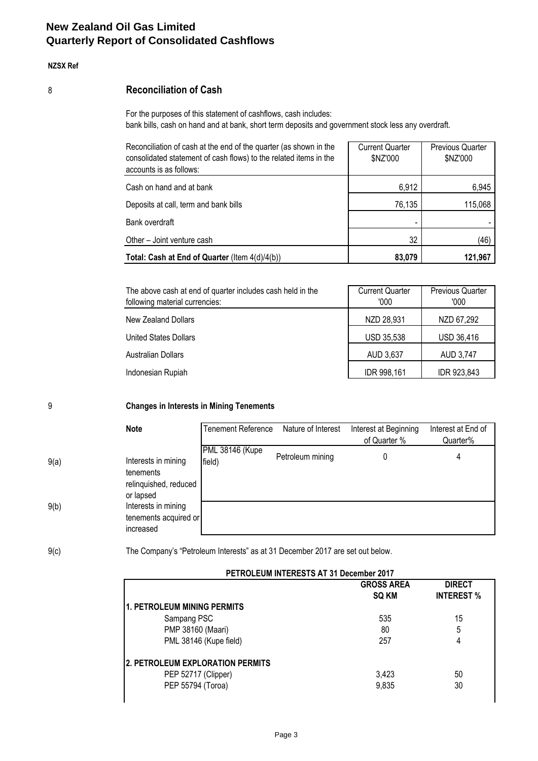## **New Zealand Oil Gas Limited Quarterly Report of Consolidated Cashflows**

#### **NZSX Ref**

### 8 **Reconciliation of Cash**

For the purposes of this statement of cashflows, cash includes: bank bills, cash on hand and at bank, short term deposits and government stock less any overdraft.

| Reconciliation of cash at the end of the quarter (as shown in the<br>consolidated statement of cash flows) to the related items in the<br>accounts is as follows: | <b>Current Quarter</b><br>\$NZ'000 | <b>Previous Quarter</b><br>\$NZ'000 |
|-------------------------------------------------------------------------------------------------------------------------------------------------------------------|------------------------------------|-------------------------------------|
| Cash on hand and at bank                                                                                                                                          | 6,912                              | 6,945                               |
| Deposits at call, term and bank bills                                                                                                                             | 76,135                             | 115,068                             |
| Bank overdraft                                                                                                                                                    |                                    |                                     |
| Other - Joint venture cash                                                                                                                                        | 32                                 | (46)                                |
| Total: Cash at End of Quarter (Item 4(d)/4(b))                                                                                                                    | 83,079                             | 121,967                             |

| The above cash at end of quarter includes cash held in the<br>following material currencies: | <b>Current Quarter</b><br>'000 | <b>Previous Quarter</b><br>'000 |
|----------------------------------------------------------------------------------------------|--------------------------------|---------------------------------|
| New Zealand Dollars                                                                          | NZD 28,931                     | NZD 67,292                      |
| United States Dollars                                                                        | <b>USD 35,538</b>              | USD 36,416                      |
| <b>Australian Dollars</b>                                                                    | AUD 3,637                      | AUD 3,747                       |
| Indonesian Rupiah                                                                            | IDR 998,161                    | IDR 923,843                     |

9 **Changes in Interests in Mining Tenements**

|      | <b>Note</b>                                                            | Tenement Reference        | Nature of Interest | Interest at Beginning<br>of Quarter % | Interest at End of<br>Quarter% |
|------|------------------------------------------------------------------------|---------------------------|--------------------|---------------------------------------|--------------------------------|
| 9(a) | Interests in mining<br>tenements<br>relinquished, reduced<br>or lapsed | PML 38146 (Kupe<br>field) | Petroleum mining   | 0                                     | 4                              |
| 9(b) | Interests in mining<br>tenements acquired or<br>increased              |                           |                    |                                       |                                |

9(c) The Company's "Petroleum Interests" as at 31 December 2017 are set out below.

|                                    | <b>GROSS AREA</b><br><b>DIRECT</b> |                   |  |  |
|------------------------------------|------------------------------------|-------------------|--|--|
|                                    | SQ KM                              | <b>INTEREST %</b> |  |  |
| <b>1. PETROLEUM MINING PERMITS</b> |                                    |                   |  |  |
| Sampang PSC                        | 535                                | 15                |  |  |
| PMP 38160 (Maari)                  | 80                                 | 5                 |  |  |
| PML 38146 (Kupe field)             | 257                                | 4                 |  |  |
| 2. PETROLEUM EXPLORATION PERMITS   |                                    |                   |  |  |
| PEP 52717 (Clipper)                | 3,423                              | 50                |  |  |
| PEP 55794 (Toroa)                  | 9,835                              | 30                |  |  |